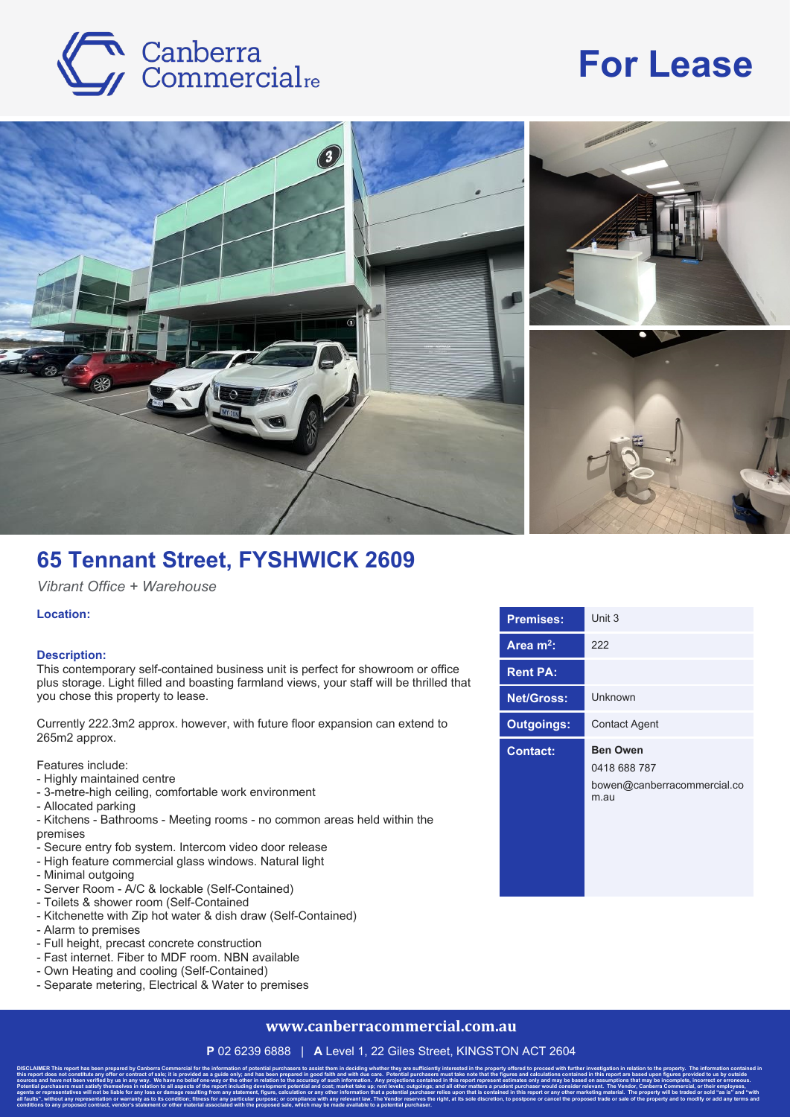

# **For Lease**



## **65 Tennant Street, FYSHWICK 2609**

*Vibrant Office + Warehouse*

#### **Location:**

#### **Description:**

This contemporary self-contained business unit is perfect for showroom or office plus storage. Light filled and boasting farmland views, your staff will be thrilled that you chose this property to lease.

Currently 222.3m2 approx. however, with future floor expansion can extend to 265m2 approx.

Features include:

- Highly maintained centre
- 3-metre-high ceiling, comfortable work environment
- Allocated parking
- Kitchens Bathrooms Meeting rooms no common areas held within the premises
- Secure entry fob system. Intercom video door release
- High feature commercial glass windows. Natural light
- Minimal outgoing
- Server Room A/C & lockable (Self-Contained)
- Toilets & shower room (Self-Contained
- Kitchenette with Zip hot water & dish draw (Self-Contained)

**conditions to any proposed contract, vendor's statement or other material associated with the proposed sale, which may be made available to a potential purchaser.**

- Alarm to premises
- Full height, precast concrete construction
- Fast internet. Fiber to MDF room. NBN available
- Own Heating and cooling (Self-Contained)
- Separate metering, Electrical & Water to premises

### **www.canberracommercial.com.au**

**P** 02 6239 6888 | **A** Level 1, 22 Giles Street, KINGSTON ACT 2604

DISCLAIMER This report has been prepared by Canberra Commercial for the information of potential purchasers to assist them in deciding whether they are sufficiently interested in the property offered to proceed with furthe this report does not constitute any offer or contract of sale; it is provided as a guide only; and has been prepared in good faith and with due care. Potential purchasers must take note that the figures and calculations co sources and have not been verified by us in any way. We have no belief one-way or the other in relation to the accuracy of such information. Any projections contained in this report represent estimates only and may be base Potential purchasers must satisfy themselves in relation to all aspects of the report including development potential and cost; market take up; rent levels; outgoings; and all other matters a prudent purchaser would consid agents or representatives will not be liable for any loss or damage resulting from any statement, figure, calculation or any other information that a potential purchaser relies upon that is contained in this report or any all faults", without any representation or warranty as to its condition; fitness for any particular purpose; or compliance with any relevant law. The Vendor reserves the right, at its sole discretion, to postpone or cancel